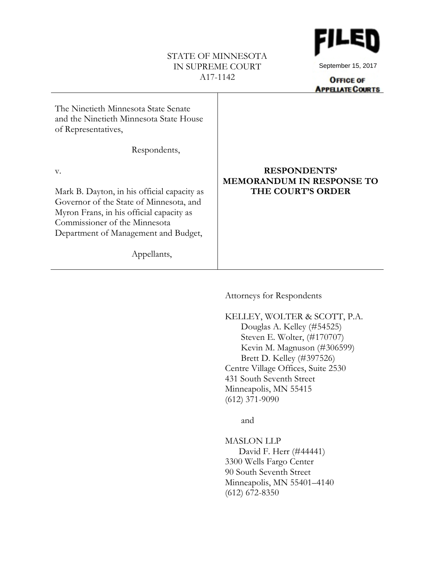### STATE OF MINNESOTA IN SUPREME COURT A17-1142



September 15, 2017

**OFFICE OF APPELATE COURTS** 

| The Ninetieth Minnesota State Senate<br>and the Ninetieth Minnesota State House<br>of Representatives,                                                                                                            |                                                                                     |
|-------------------------------------------------------------------------------------------------------------------------------------------------------------------------------------------------------------------|-------------------------------------------------------------------------------------|
| Respondents,                                                                                                                                                                                                      |                                                                                     |
| V.<br>Mark B. Dayton, in his official capacity as<br>Governor of the State of Minnesota, and<br>Myron Frans, in his official capacity as<br>Commissioner of the Minnesota<br>Department of Management and Budget, | <b>RESPONDENTS'</b><br><b>MEMORANDUM IN RESPONSE TO</b><br><b>THE COURT'S ORDER</b> |
| Appellants,                                                                                                                                                                                                       |                                                                                     |

Attorneys for Respondents

KELLEY, WOLTER & SCOTT, P.A. Douglas A. Kelley (#54525) Steven E. Wolter, (#170707) Kevin M. Magnuson (#306599) Brett D. Kelley (#397526) Centre Village Offices, Suite 2530 431 South Seventh Street Minneapolis, MN 55415 (612) 371-9090

and

MASLON LLP David F. Herr (#44441) 3300 Wells Fargo Center 90 South Seventh Street Minneapolis, MN 55401–4140 (612) 672-8350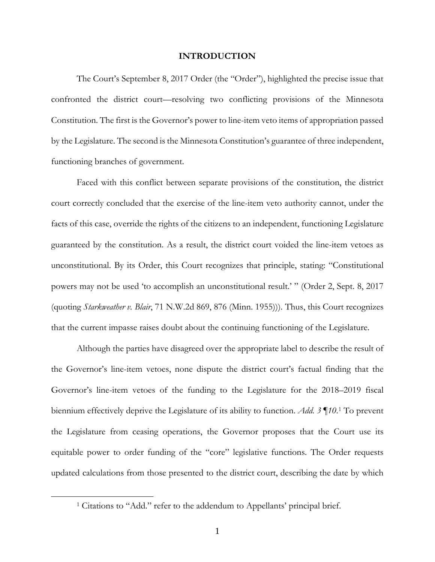#### **INTRODUCTION**

The Court's September 8, 2017 Order (the "Order"), highlighted the precise issue that confronted the district court—resolving two conflicting provisions of the Minnesota Constitution. The first is the Governor's power to line-item veto items of appropriation passed by the Legislature. The second is the Minnesota Constitution's guarantee of three independent, functioning branches of government.

Faced with this conflict between separate provisions of the constitution, the district court correctly concluded that the exercise of the line-item veto authority cannot, under the facts of this case, override the rights of the citizens to an independent, functioning Legislature guaranteed by the constitution. As a result, the district court voided the line-item vetoes as unconstitutional. By its Order, this Court recognizes that principle, stating: "Constitutional powers may not be used 'to accomplish an unconstitutional result.' " (Order 2, Sept. 8, 2017 (quoting *Starkweather v. Blair*, 71 N.W.2d 869, 876 (Minn. 1955))). Thus, this Court recognizes that the current impasse raises doubt about the continuing functioning of the Legislature.

Although the parties have disagreed over the appropriate label to describe the result of the Governor's line-item vetoes, none dispute the district court's factual finding that the Governor's line-item vetoes of the funding to the Legislature for the 2018–2019 fiscal biennium effectively deprive the Legislature of its ability to function. *Add. 3 ¶10*.[1](#page-1-0) To prevent the Legislature from ceasing operations, the Governor proposes that the Court use its equitable power to order funding of the "core" legislative functions. The Order requests updated calculations from those presented to the district court, describing the date by which

<span id="page-1-0"></span><sup>&</sup>lt;sup>1</sup> Citations to "Add." refer to the addendum to Appellants' principal brief.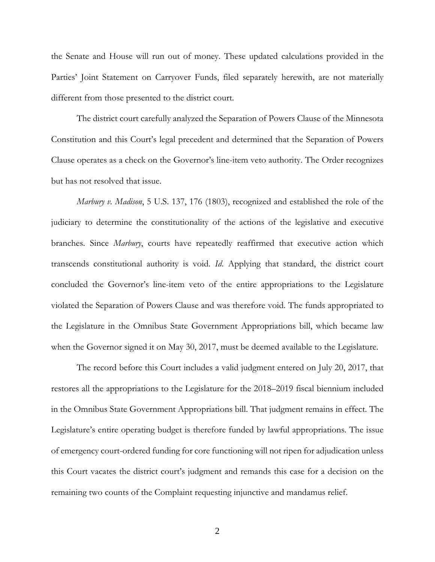the Senate and House will run out of money. These updated calculations provided in the Parties' Joint Statement on Carryover Funds, filed separately herewith, are not materially different from those presented to the district court.

The district court carefully analyzed the Separation of Powers Clause of the Minnesota Constitution and this Court's legal precedent and determined that the Separation of Powers Clause operates as a check on the Governor's line-item veto authority. The Order recognizes but has not resolved that issue.

*Marbury v. Madison*, 5 U.S. 137, 176 (1803), recognized and established the role of the judiciary to determine the constitutionality of the actions of the legislative and executive branches. Since *Marbury*, courts have repeatedly reaffirmed that executive action which transcends constitutional authority is void. *Id*. Applying that standard, the district court concluded the Governor's line-item veto of the entire appropriations to the Legislature violated the Separation of Powers Clause and was therefore void. The funds appropriated to the Legislature in the Omnibus State Government Appropriations bill, which became law when the Governor signed it on May 30, 2017, must be deemed available to the Legislature.

The record before this Court includes a valid judgment entered on July 20, 2017, that restores all the appropriations to the Legislature for the 2018–2019 fiscal biennium included in the Omnibus State Government Appropriations bill. That judgment remains in effect. The Legislature's entire operating budget is therefore funded by lawful appropriations. The issue of emergency court-ordered funding for core functioning will not ripen for adjudication unless this Court vacates the district court's judgment and remands this case for a decision on the remaining two counts of the Complaint requesting injunctive and mandamus relief.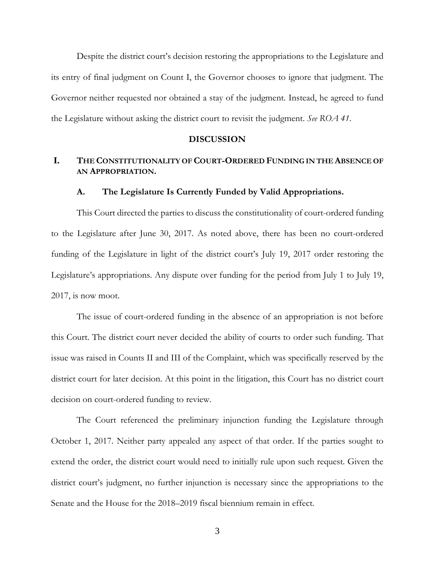Despite the district court's decision restoring the appropriations to the Legislature and its entry of final judgment on Count I, the Governor chooses to ignore that judgment. The Governor neither requested nor obtained a stay of the judgment. Instead, he agreed to fund the Legislature without asking the district court to revisit the judgment. *See ROA 41*.

#### **DISCUSSION**

# **I. THE CONSTITUTIONALITY OF COURT-ORDERED FUNDING IN THE ABSENCE OF AN APPROPRIATION.**

#### **A. The Legislature Is Currently Funded by Valid Appropriations.**

This Court directed the parties to discuss the constitutionality of court-ordered funding to the Legislature after June 30, 2017. As noted above, there has been no court-ordered funding of the Legislature in light of the district court's July 19, 2017 order restoring the Legislature's appropriations. Any dispute over funding for the period from July 1 to July 19, 2017, is now moot.

The issue of court-ordered funding in the absence of an appropriation is not before this Court. The district court never decided the ability of courts to order such funding. That issue was raised in Counts II and III of the Complaint, which was specifically reserved by the district court for later decision. At this point in the litigation, this Court has no district court decision on court-ordered funding to review.

The Court referenced the preliminary injunction funding the Legislature through October 1, 2017. Neither party appealed any aspect of that order. If the parties sought to extend the order, the district court would need to initially rule upon such request. Given the district court's judgment, no further injunction is necessary since the appropriations to the Senate and the House for the 2018–2019 fiscal biennium remain in effect.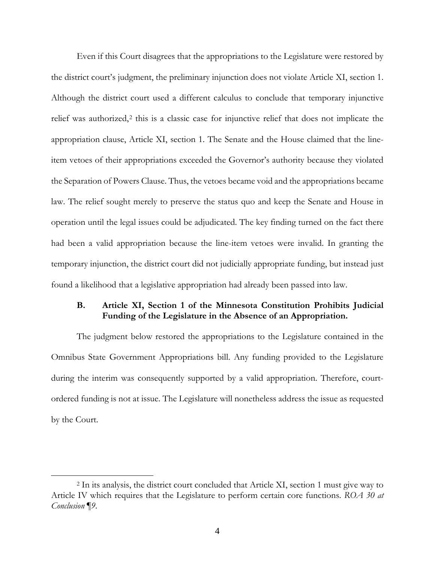Even if this Court disagrees that the appropriations to the Legislature were restored by the district court's judgment, the preliminary injunction does not violate Article XI, section 1. Although the district court used a different calculus to conclude that temporary injunctive relief was authorized,<sup>[2](#page-4-0)</sup> this is a classic case for injunctive relief that does not implicate the appropriation clause, Article XI, section 1. The Senate and the House claimed that the lineitem vetoes of their appropriations exceeded the Governor's authority because they violated the Separation of Powers Clause. Thus, the vetoes became void and the appropriations became law. The relief sought merely to preserve the status quo and keep the Senate and House in operation until the legal issues could be adjudicated. The key finding turned on the fact there had been a valid appropriation because the line-item vetoes were invalid. In granting the temporary injunction, the district court did not judicially appropriate funding, but instead just found a likelihood that a legislative appropriation had already been passed into law.

## **B. Article XI, Section 1 of the Minnesota Constitution Prohibits Judicial Funding of the Legislature in the Absence of an Appropriation.**

The judgment below restored the appropriations to the Legislature contained in the Omnibus State Government Appropriations bill. Any funding provided to the Legislature during the interim was consequently supported by a valid appropriation. Therefore, courtordered funding is not at issue. The Legislature will nonetheless address the issue as requested by the Court.

<span id="page-4-0"></span><sup>2</sup> In its analysis, the district court concluded that Article XI, section 1 must give way to Article IV which requires that the Legislature to perform certain core functions. *ROA 30 at Conclusion ¶9*.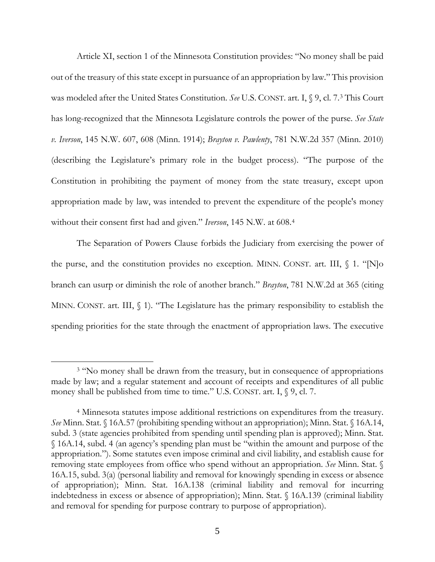Article XI, section 1 of the Minnesota Constitution provides: "No money shall be paid out of the treasury of this state except in pursuance of an appropriation by law." This provision was modeled after the United States Constitution. *See* U.S. CONST. art. I, § 9, cl. 7.[3](#page-5-0) This Court has long-recognized that the Minnesota Legislature controls the power of the purse. *See State v. Iverson*, 145 N.W. 607, 608 (Minn. 1914); *Brayton v. Pawlenty*, 781 N.W.2d 357 (Minn. 2010) (describing the Legislature's primary role in the budget process). "The purpose of the Constitution in prohibiting the payment of money from the state treasury, except upon appropriation made by law, was intended to prevent the expenditure of the people's money without their consent first had and given." *Iverson*, 145 N.W. at 608.[4](#page-5-1)

The Separation of Powers Clause forbids the Judiciary from exercising the power of the purse, and the constitution provides no exception. MINN. CONST. art. III, § 1. "[N]o branch can usurp or diminish the role of another branch." *Brayton*, 781 N.W.2d at 365 (citing MINN. CONST. art. III,  $\langle 1 \rangle$ . "The Legislature has the primary responsibility to establish the spending priorities for the state through the enactment of appropriation laws. The executive

<span id="page-5-0"></span><sup>&</sup>lt;sup>3</sup> "No money shall be drawn from the treasury, but in consequence of appropriations made by law; and a regular statement and account of receipts and expenditures of all public money shall be published from time to time." U.S. CONST. art. I,  $\S$  9, cl. 7.

<span id="page-5-1"></span><sup>4</sup> Minnesota statutes impose additional restrictions on expenditures from the treasury. *See* Minn. Stat. § 16A.57 (prohibiting spending without an appropriation); Minn. Stat. § 16A.14, subd. 3 (state agencies prohibited from spending until spending plan is approved); Minn. Stat. § 16A.14, subd. 4 (an agency's spending plan must be "within the amount and purpose of the appropriation."). Some statutes even impose criminal and civil liability, and establish cause for removing state employees from office who spend without an appropriation. *See* Minn. Stat. § 16A.15, subd. 3(a) (personal liability and removal for knowingly spending in excess or absence of appropriation); Minn. Stat. 16A.138 (criminal liability and removal for incurring indebtedness in excess or absence of appropriation); Minn. Stat. § 16A.139 (criminal liability and removal for spending for purpose contrary to purpose of appropriation).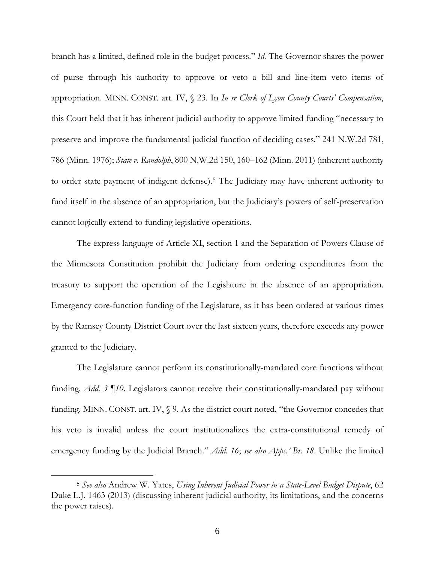branch has a limited, defined role in the budget process." *Id*. The Governor shares the power of purse through his authority to approve or veto a bill and line-item veto items of appropriation. MINN. CONST. art. IV, § 23. In *In re Clerk of Lyon County Courts' Compensation*, this Court held that it has inherent judicial authority to approve limited funding "necessary to preserve and improve the fundamental judicial function of deciding cases." 241 N.W.2d 781, 786 (Minn. 1976); *State v. Randolph*, 800 N.W.2d 150, 160–162 (Minn. 2011) (inherent authority to order state payment of indigent defense).[5](#page-6-0) The Judiciary may have inherent authority to fund itself in the absence of an appropriation, but the Judiciary's powers of self-preservation cannot logically extend to funding legislative operations.

The express language of Article XI, section 1 and the Separation of Powers Clause of the Minnesota Constitution prohibit the Judiciary from ordering expenditures from the treasury to support the operation of the Legislature in the absence of an appropriation. Emergency core-function funding of the Legislature, as it has been ordered at various times by the Ramsey County District Court over the last sixteen years, therefore exceeds any power granted to the Judiciary.

The Legislature cannot perform its constitutionally-mandated core functions without funding. *Add. 3 ¶10*. Legislators cannot receive their constitutionally-mandated pay without funding. MINN. CONST. art. IV, § 9. As the district court noted, "the Governor concedes that his veto is invalid unless the court institutionalizes the extra-constitutional remedy of emergency funding by the Judicial Branch." *Add. 16*; *see also Apps.' Br. 18*. Unlike the limited

<span id="page-6-0"></span><sup>5</sup> *See also* Andrew W. Yates, *Using Inherent Judicial Power in a State-Level Budget Dispute*, 62 Duke L.J. 1463 (2013) (discussing inherent judicial authority, its limitations, and the concerns the power raises).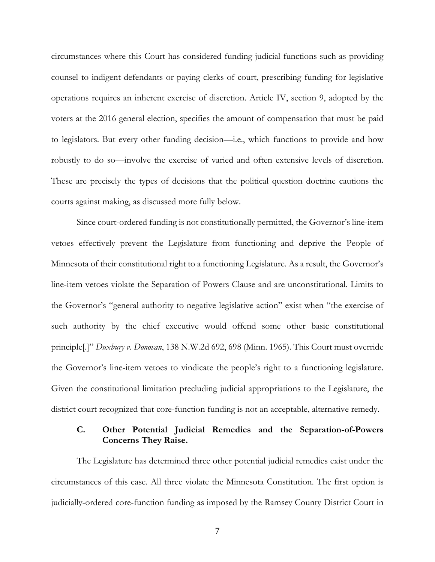circumstances where this Court has considered funding judicial functions such as providing counsel to indigent defendants or paying clerks of court, prescribing funding for legislative operations requires an inherent exercise of discretion. Article IV, section 9, adopted by the voters at the 2016 general election, specifies the amount of compensation that must be paid to legislators. But every other funding decision—i.e., which functions to provide and how robustly to do so—involve the exercise of varied and often extensive levels of discretion. These are precisely the types of decisions that the political question doctrine cautions the courts against making, as discussed more fully below.

Since court-ordered funding is not constitutionally permitted, the Governor's line-item vetoes effectively prevent the Legislature from functioning and deprive the People of Minnesota of their constitutional right to a functioning Legislature. As a result, the Governor's line-item vetoes violate the Separation of Powers Clause and are unconstitutional. Limits to the Governor's "general authority to negative legislative action" exist when "the exercise of such authority by the chief executive would offend some other basic constitutional principle[.]" *Duxbury v. Donovan*, 138 N.W.2d 692, 698 (Minn. 1965). This Court must override the Governor's line-item vetoes to vindicate the people's right to a functioning legislature. Given the constitutional limitation precluding judicial appropriations to the Legislature, the district court recognized that core-function funding is not an acceptable, alternative remedy.

## **C. Other Potential Judicial Remedies and the Separation-of-Powers Concerns They Raise.**

The Legislature has determined three other potential judicial remedies exist under the circumstances of this case. All three violate the Minnesota Constitution. The first option is judicially-ordered core-function funding as imposed by the Ramsey County District Court in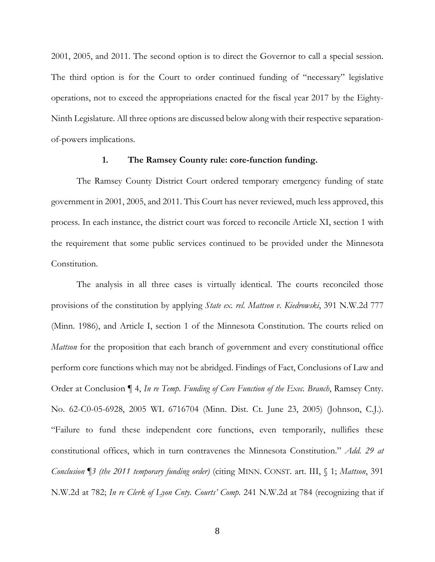2001, 2005, and 2011. The second option is to direct the Governor to call a special session. The third option is for the Court to order continued funding of "necessary" legislative operations, not to exceed the appropriations enacted for the fiscal year 2017 by the Eighty-Ninth Legislature. All three options are discussed below along with their respective separationof-powers implications.

### **1. The Ramsey County rule: core-function funding.**

The Ramsey County District Court ordered temporary emergency funding of state government in 2001, 2005, and 2011. This Court has never reviewed, much less approved, this process. In each instance, the district court was forced to reconcile Article XI, section 1 with the requirement that some public services continued to be provided under the Minnesota Constitution.

The analysis in all three cases is virtually identical. The courts reconciled those provisions of the constitution by applying *State ex. rel. Mattson v. Kiedrowski*, 391 N.W.2d 777 (Minn. 1986), and Article I, section 1 of the Minnesota Constitution. The courts relied on *Mattson* for the proposition that each branch of government and every constitutional office perform core functions which may not be abridged. Findings of Fact, Conclusions of Law and Order at Conclusion ¶ 4, *In re Temp. Funding of Core Function of the Exec. Branch*, Ramsey Cnty. No. 62-C0-05-6928, 2005 WL 6716704 (Minn. Dist. Ct. June 23, 2005) (Johnson, C.J.). "Failure to fund these independent core functions, even temporarily, nullifies these constitutional offices, which in turn contravenes the Minnesota Constitution." *Add. 29 at Conclusion ¶3 (the 2011 temporary funding order)* (citing MINN. CONST. art. III, § 1; *Mattson*, 391 N.W.2d at 782; *In re Clerk of Lyon Cnty. Courts' Comp.* 241 N.W.2d at 784 (recognizing that if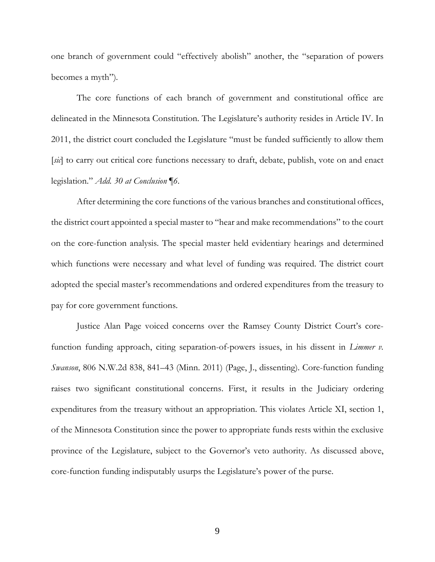one branch of government could "effectively abolish" another, the "separation of powers becomes a myth")*.*

The core functions of each branch of government and constitutional office are delineated in the Minnesota Constitution. The Legislature's authority resides in Article IV. In 2011, the district court concluded the Legislature "must be funded sufficiently to allow them [*sic*] to carry out critical core functions necessary to draft, debate, publish, vote on and enact legislation." *Add. 30 at Conclusion ¶6*.

After determining the core functions of the various branches and constitutional offices, the district court appointed a special master to "hear and make recommendations" to the court on the core-function analysis. The special master held evidentiary hearings and determined which functions were necessary and what level of funding was required. The district court adopted the special master's recommendations and ordered expenditures from the treasury to pay for core government functions.

Justice Alan Page voiced concerns over the Ramsey County District Court's corefunction funding approach, citing separation-of-powers issues, in his dissent in *Limmer v. Swanson*, 806 N.W.2d 838, 841–43 (Minn. 2011) (Page, J., dissenting). Core-function funding raises two significant constitutional concerns. First, it results in the Judiciary ordering expenditures from the treasury without an appropriation. This violates Article XI, section 1, of the Minnesota Constitution since the power to appropriate funds rests within the exclusive province of the Legislature, subject to the Governor's veto authority. As discussed above, core-function funding indisputably usurps the Legislature's power of the purse.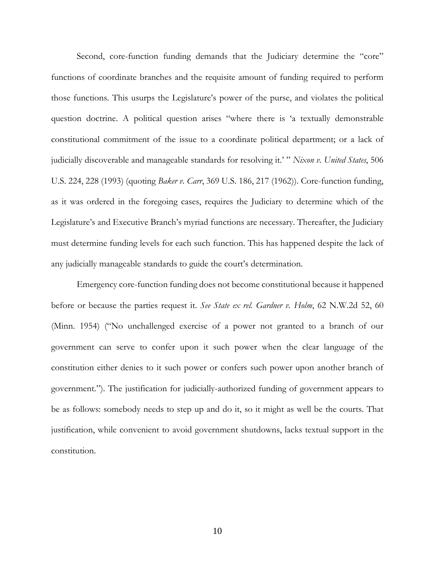Second, core-function funding demands that the Judiciary determine the "core" functions of coordinate branches and the requisite amount of funding required to perform those functions. This usurps the Legislature's power of the purse, and violates the political question doctrine. A political question arises "where there is 'a textually demonstrable constitutional commitment of the issue to a coordinate political department; or a lack of judicially discoverable and manageable standards for resolving it.' " *Nixon v. United States*, 506 U.S. 224, 228 (1993) (quoting *Baker v. Carr*, 369 U.S. 186, 217 (1962)). Core-function funding, as it was ordered in the foregoing cases, requires the Judiciary to determine which of the Legislature's and Executive Branch's myriad functions are necessary. Thereafter, the Judiciary must determine funding levels for each such function. This has happened despite the lack of any judicially manageable standards to guide the court's determination.

Emergency core-function funding does not become constitutional because it happened before or because the parties request it. *See State ex rel. Gardner v. Holm*, 62 N.W.2d 52, 60 (Minn. 1954) ("No unchallenged exercise of a power not granted to a branch of our government can serve to confer upon it such power when the clear language of the constitution either denies to it such power or confers such power upon another branch of government."). The justification for judicially-authorized funding of government appears to be as follows: somebody needs to step up and do it, so it might as well be the courts. That justification, while convenient to avoid government shutdowns, lacks textual support in the constitution.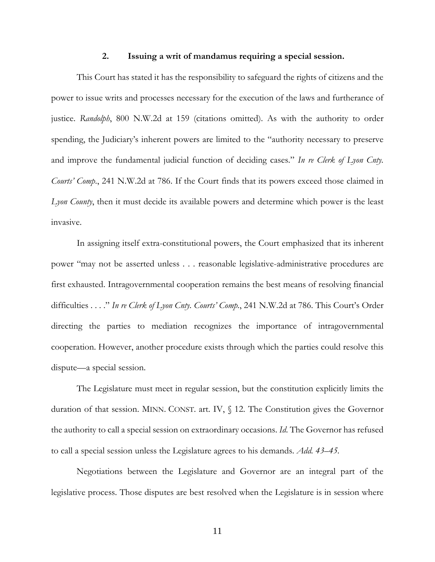#### **2. Issuing a writ of mandamus requiring a special session.**

This Court has stated it has the responsibility to safeguard the rights of citizens and the power to issue writs and processes necessary for the execution of the laws and furtherance of justice. *Randolph*, 800 N.W.2d at 159 (citations omitted). As with the authority to order spending, the Judiciary's inherent powers are limited to the "authority necessary to preserve and improve the fundamental judicial function of deciding cases." *In re Clerk of Lyon Cnty. Courts' Comp*., 241 N.W.2d at 786. If the Court finds that its powers exceed those claimed in *Lyon County*, then it must decide its available powers and determine which power is the least invasive.

In assigning itself extra-constitutional powers, the Court emphasized that its inherent power "may not be asserted unless . . . reasonable legislative-administrative procedures are first exhausted. Intragovernmental cooperation remains the best means of resolving financial difficulties . . . ." *In re Clerk of Lyon Cnty. Courts' Comp.*, 241 N.W.2d at 786. This Court's Order directing the parties to mediation recognizes the importance of intragovernmental cooperation. However, another procedure exists through which the parties could resolve this dispute—a special session.

The Legislature must meet in regular session, but the constitution explicitly limits the duration of that session. MINN. CONST. art. IV, § 12. The Constitution gives the Governor the authority to call a special session on extraordinary occasions. *Id*. The Governor has refused to call a special session unless the Legislature agrees to his demands. *Add. 43–45.*

Negotiations between the Legislature and Governor are an integral part of the legislative process. Those disputes are best resolved when the Legislature is in session where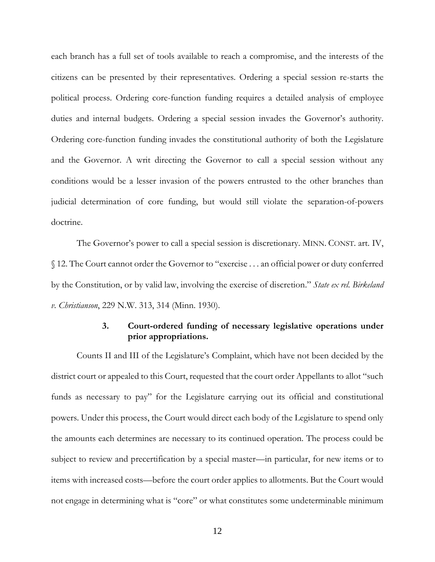each branch has a full set of tools available to reach a compromise, and the interests of the citizens can be presented by their representatives. Ordering a special session re-starts the political process. Ordering core-function funding requires a detailed analysis of employee duties and internal budgets. Ordering a special session invades the Governor's authority. Ordering core-function funding invades the constitutional authority of both the Legislature and the Governor. A writ directing the Governor to call a special session without any conditions would be a lesser invasion of the powers entrusted to the other branches than judicial determination of core funding, but would still violate the separation-of-powers doctrine.

The Governor's power to call a special session is discretionary. MINN. CONST. art. IV, § 12. The Court cannot order the Governor to "exercise . . . an official power or duty conferred by the Constitution, or by valid law, involving the exercise of discretion." *State ex rel. Birkeland v. Christianson*, 229 N.W. 313, 314 (Minn. 1930).

## **3. Court-ordered funding of necessary legislative operations under prior appropriations.**

Counts II and III of the Legislature's Complaint, which have not been decided by the district court or appealed to this Court, requested that the court order Appellants to allot "such funds as necessary to pay" for the Legislature carrying out its official and constitutional powers. Under this process, the Court would direct each body of the Legislature to spend only the amounts each determines are necessary to its continued operation. The process could be subject to review and precertification by a special master—in particular, for new items or to items with increased costs—before the court order applies to allotments. But the Court would not engage in determining what is "core" or what constitutes some undeterminable minimum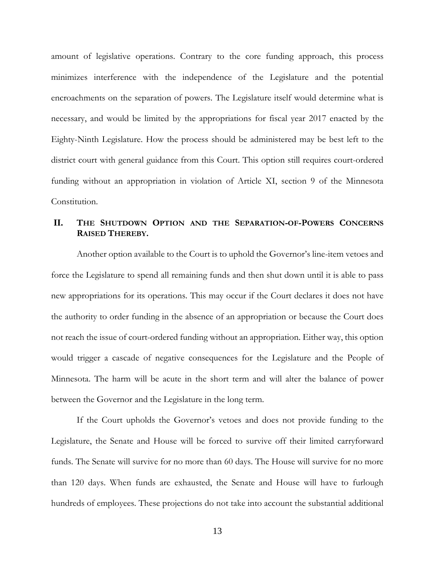amount of legislative operations. Contrary to the core funding approach, this process minimizes interference with the independence of the Legislature and the potential encroachments on the separation of powers. The Legislature itself would determine what is necessary, and would be limited by the appropriations for fiscal year 2017 enacted by the Eighty-Ninth Legislature. How the process should be administered may be best left to the district court with general guidance from this Court. This option still requires court-ordered funding without an appropriation in violation of Article XI, section 9 of the Minnesota Constitution.

## **II. THE SHUTDOWN OPTION AND THE SEPARATION-OF-POWERS CONCERNS RAISED THEREBY.**

Another option available to the Court is to uphold the Governor's line-item vetoes and force the Legislature to spend all remaining funds and then shut down until it is able to pass new appropriations for its operations. This may occur if the Court declares it does not have the authority to order funding in the absence of an appropriation or because the Court does not reach the issue of court-ordered funding without an appropriation. Either way, this option would trigger a cascade of negative consequences for the Legislature and the People of Minnesota. The harm will be acute in the short term and will alter the balance of power between the Governor and the Legislature in the long term.

If the Court upholds the Governor's vetoes and does not provide funding to the Legislature, the Senate and House will be forced to survive off their limited carryforward funds. The Senate will survive for no more than 60 days. The House will survive for no more than 120 days. When funds are exhausted, the Senate and House will have to furlough hundreds of employees. These projections do not take into account the substantial additional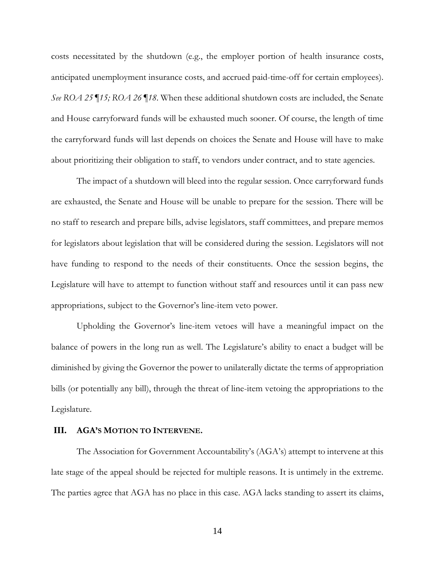costs necessitated by the shutdown (e.g., the employer portion of health insurance costs, anticipated unemployment insurance costs, and accrued paid-time-off for certain employees). *See ROA 25 ¶15; ROA 26 ¶18*. When these additional shutdown costs are included, the Senate and House carryforward funds will be exhausted much sooner. Of course, the length of time the carryforward funds will last depends on choices the Senate and House will have to make about prioritizing their obligation to staff, to vendors under contract, and to state agencies.

The impact of a shutdown will bleed into the regular session. Once carryforward funds are exhausted, the Senate and House will be unable to prepare for the session. There will be no staff to research and prepare bills, advise legislators, staff committees, and prepare memos for legislators about legislation that will be considered during the session. Legislators will not have funding to respond to the needs of their constituents. Once the session begins, the Legislature will have to attempt to function without staff and resources until it can pass new appropriations, subject to the Governor's line-item veto power.

Upholding the Governor's line-item vetoes will have a meaningful impact on the balance of powers in the long run as well. The Legislature's ability to enact a budget will be diminished by giving the Governor the power to unilaterally dictate the terms of appropriation bills (or potentially any bill), through the threat of line-item vetoing the appropriations to the Legislature.

### **III. AGA'S MOTION TO INTERVENE.**

The Association for Government Accountability's (AGA's) attempt to intervene at this late stage of the appeal should be rejected for multiple reasons. It is untimely in the extreme. The parties agree that AGA has no place in this case. AGA lacks standing to assert its claims,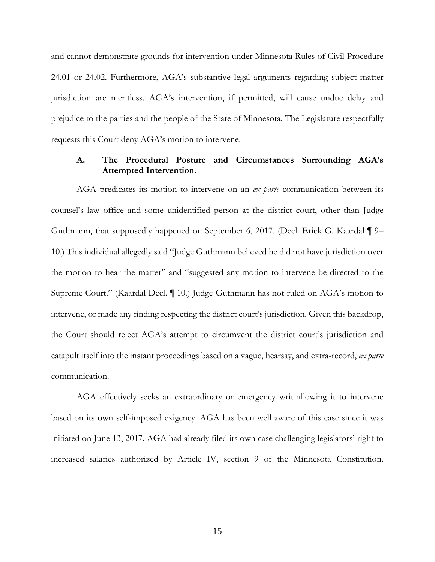and cannot demonstrate grounds for intervention under Minnesota Rules of Civil Procedure 24.01 or 24.02. Furthermore, AGA's substantive legal arguments regarding subject matter jurisdiction are meritless. AGA's intervention, if permitted, will cause undue delay and prejudice to the parties and the people of the State of Minnesota. The Legislature respectfully requests this Court deny AGA's motion to intervene.

## **A. The Procedural Posture and Circumstances Surrounding AGA's Attempted Intervention.**

AGA predicates its motion to intervene on an *ex parte* communication between its counsel's law office and some unidentified person at the district court, other than Judge Guthmann, that supposedly happened on September 6, 2017. (Decl. Erick G. Kaardal ¶ 9– 10.) This individual allegedly said "Judge Guthmann believed he did not have jurisdiction over the motion to hear the matter" and "suggested any motion to intervene be directed to the Supreme Court." (Kaardal Decl. ¶ 10.) Judge Guthmann has not ruled on AGA's motion to intervene, or made any finding respecting the district court's jurisdiction. Given this backdrop, the Court should reject AGA's attempt to circumvent the district court's jurisdiction and catapult itself into the instant proceedings based on a vague, hearsay, and extra-record, *ex parte* communication.

AGA effectively seeks an extraordinary or emergency writ allowing it to intervene based on its own self-imposed exigency. AGA has been well aware of this case since it was initiated on June 13, 2017. AGA had already filed its own case challenging legislators' right to increased salaries authorized by Article IV, section 9 of the Minnesota Constitution.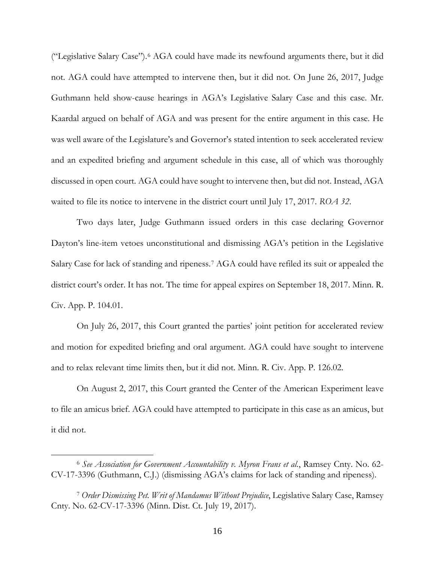("Legislative Salary Case").[6](#page-16-0) AGA could have made its newfound arguments there, but it did not. AGA could have attempted to intervene then, but it did not. On June 26, 2017, Judge Guthmann held show-cause hearings in AGA's Legislative Salary Case and this case. Mr. Kaardal argued on behalf of AGA and was present for the entire argument in this case. He was well aware of the Legislature's and Governor's stated intention to seek accelerated review and an expedited briefing and argument schedule in this case, all of which was thoroughly discussed in open court. AGA could have sought to intervene then, but did not. Instead, AGA waited to file its notice to intervene in the district court until July 17, 2017. *ROA 32*.

Two days later, Judge Guthmann issued orders in this case declaring Governor Dayton's line-item vetoes unconstitutional and dismissing AGA's petition in the Legislative Salary Case for lack of standing and ripeness.[7](#page-16-1) AGA could have refiled its suit or appealed the district court's order. It has not. The time for appeal expires on September 18, 2017. Minn. R. Civ. App. P. 104.01.

On July 26, 2017, this Court granted the parties' joint petition for accelerated review and motion for expedited briefing and oral argument. AGA could have sought to intervene and to relax relevant time limits then, but it did not. Minn. R. Civ. App. P. 126.02.

On August 2, 2017, this Court granted the Center of the American Experiment leave to file an amicus brief. AGA could have attempted to participate in this case as an amicus, but it did not.

<span id="page-16-0"></span><sup>6</sup> *See Association for Government Accountability v. Myron Frans et al.*, Ramsey Cnty. No. 62- CV-17-3396 (Guthmann, C.J.) (dismissing AGA's claims for lack of standing and ripeness).

<span id="page-16-1"></span><sup>7</sup> *Order Dismissing Pet. Writ of Mandamus Without Prejudice*, Legislative Salary Case, Ramsey Cnty. No. 62-CV-17-3396 (Minn. Dist. Ct. July 19, 2017).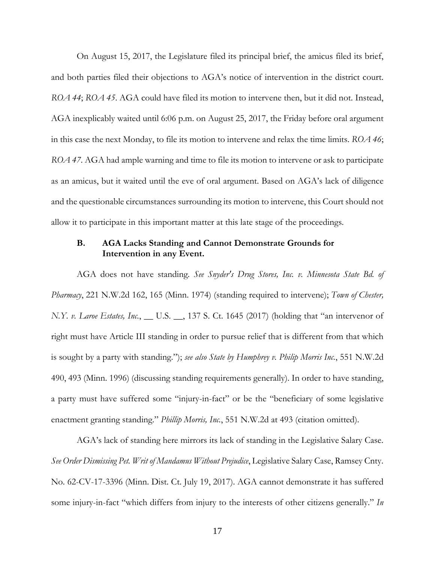On August 15, 2017, the Legislature filed its principal brief, the amicus filed its brief, and both parties filed their objections to AGA's notice of intervention in the district court. *ROA 44*; *ROA 45*. AGA could have filed its motion to intervene then, but it did not. Instead, AGA inexplicably waited until 6:06 p.m. on August 25, 2017, the Friday before oral argument in this case the next Monday, to file its motion to intervene and relax the time limits. *ROA 46*; *ROA 47*. AGA had ample warning and time to file its motion to intervene or ask to participate as an amicus, but it waited until the eve of oral argument. Based on AGA's lack of diligence and the questionable circumstances surrounding its motion to intervene, this Court should not allow it to participate in this important matter at this late stage of the proceedings.

## **B. AGA Lacks Standing and Cannot Demonstrate Grounds for Intervention in any Event.**

AGA does not have standing. *See Snyder's Drug Stores, Inc. v. Minnesota State Bd. of Pharmacy*, 221 N.W.2d 162, 165 (Minn. 1974) (standing required to intervene); *Town of Chester, N.Y. v. Laroe Estates, Inc.*, \_\_ U.S. \_\_, 137 S. Ct. 1645 (2017) (holding that "an intervenor of right must have Article III standing in order to pursue relief that is different from that which is sought by a party with standing."); *see also State by Humphrey v. Philip Morris Inc.*, 551 N.W.2d 490, 493 (Minn. 1996) (discussing standing requirements generally). In order to have standing, a party must have suffered some "injury-in-fact" or be the "beneficiary of some legislative enactment granting standing." *Phillip Morris, Inc.*, 551 N.W.2d at 493 (citation omitted).

AGA's lack of standing here mirrors its lack of standing in the Legislative Salary Case. *See Order Dismissing Pet. Writ of Mandamus Without Prejudice*, Legislative Salary Case, Ramsey Cnty. No. 62-CV-17-3396 (Minn. Dist. Ct. July 19, 2017). AGA cannot demonstrate it has suffered some injury-in-fact "which differs from injury to the interests of other citizens generally." *In*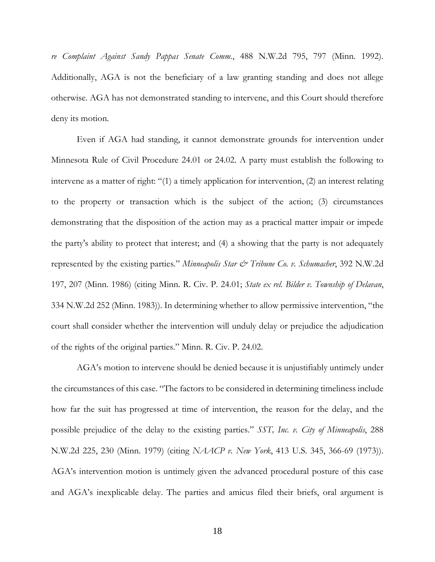*re Complaint Against Sandy Pappas Senate Comm.*, 488 N.W.2d 795, 797 (Minn. 1992). Additionally, AGA is not the beneficiary of a law granting standing and does not allege otherwise. AGA has not demonstrated standing to intervene, and this Court should therefore deny its motion.

Even if AGA had standing, it cannot demonstrate grounds for intervention under Minnesota Rule of Civil Procedure 24.01 or 24.02. A party must establish the following to intervene as a matter of right: "(1) a timely application for intervention, (2) an interest relating to the property or transaction which is the subject of the action; (3) circumstances demonstrating that the disposition of the action may as a practical matter impair or impede the party's ability to protect that interest; and (4) a showing that the party is not adequately represented by the existing parties." *Minneapolis Star & Tribune Co. v. Schumacher*, 392 N.W.2d 197, 207 (Minn. 1986) (citing Minn. R. Civ. P. 24.01; *State ex rel. Bilder v. Township of Delavan*, 334 N.W.2d 252 (Minn. 1983)). In determining whether to allow permissive intervention, "the court shall consider whether the intervention will unduly delay or prejudice the adjudication of the rights of the original parties." Minn. R. Civ. P. 24.02.

AGA's motion to intervene should be denied because it is unjustifiably untimely under the circumstances of this case. "The factors to be considered in determining timeliness include how far the suit has progressed at time of intervention, the reason for the delay, and the possible prejudice of the delay to the existing parties." *SST, Inc. v. City of Minneapolis*, 288 N.W.2d 225, 230 (Minn. 1979) (citing *NAACP v. New York*, 413 U.S. 345, 366-69 (1973)). AGA's intervention motion is untimely given the advanced procedural posture of this case and AGA's inexplicable delay. The parties and amicus filed their briefs, oral argument is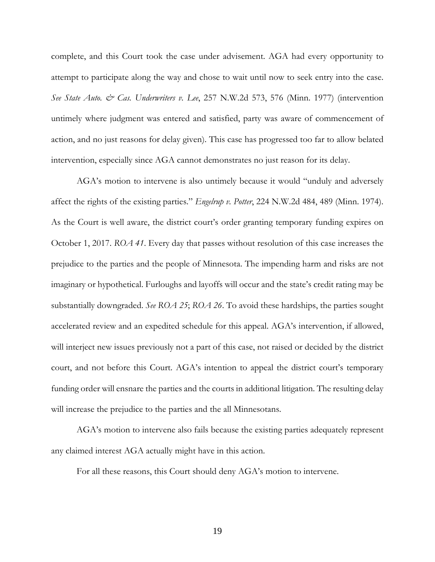complete, and this Court took the case under advisement. AGA had every opportunity to attempt to participate along the way and chose to wait until now to seek entry into the case. *See State Auto. & Cas. Underwriters v. Lee, 257 N.W.2d 573, 576 (Minn. 1977) (intervention* untimely where judgment was entered and satisfied, party was aware of commencement of action, and no just reasons for delay given). This case has progressed too far to allow belated intervention, especially since AGA cannot demonstrates no just reason for its delay.

AGA's motion to intervene is also untimely because it would "unduly and adversely affect the rights of the existing parties." *Engelrup v. Potter*, 224 N.W.2d 484, 489 (Minn. 1974). As the Court is well aware, the district court's order granting temporary funding expires on October 1, 2017. *ROA 41*. Every day that passes without resolution of this case increases the prejudice to the parties and the people of Minnesota. The impending harm and risks are not imaginary or hypothetical. Furloughs and layoffs will occur and the state's credit rating may be substantially downgraded. *See ROA 25*; *ROA 26*. To avoid these hardships, the parties sought accelerated review and an expedited schedule for this appeal. AGA's intervention, if allowed, will interject new issues previously not a part of this case, not raised or decided by the district court, and not before this Court. AGA's intention to appeal the district court's temporary funding order will ensnare the parties and the courts in additional litigation. The resulting delay will increase the prejudice to the parties and the all Minnesotans.

AGA's motion to intervene also fails because the existing parties adequately represent any claimed interest AGA actually might have in this action.

For all these reasons, this Court should deny AGA's motion to intervene.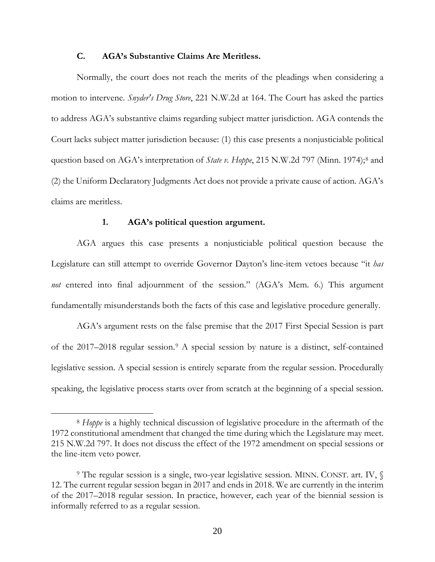### **C. AGA's Substantive Claims Are Meritless.**

Normally, the court does not reach the merits of the pleadings when considering a motion to intervene. *Snyder's Drug Store*, 221 N.W.2d at 164. The Court has asked the parties to address AGA's substantive claims regarding subject matter jurisdiction. AGA contends the Court lacks subject matter jurisdiction because: (1) this case presents a nonjusticiable political question based on AGA's interpretation of *State v. Hoppe*, 215 N.W.2d 797 (Minn. 1974);<sup>[8](#page-20-0)</sup> and (2) the Uniform Declaratory Judgments Act does not provide a private cause of action. AGA's claims are meritless.

### **1. AGA's political question argument.**

 $\overline{a}$ 

AGA argues this case presents a nonjusticiable political question because the Legislature can still attempt to override Governor Dayton's line-item vetoes because "it *has not* entered into final adjournment of the session." (AGA's Mem. 6.) This argument fundamentally misunderstands both the facts of this case and legislative procedure generally.

AGA's argument rests on the false premise that the 2017 First Special Session is part of the 2017–2018 regular session.[9](#page-20-1) A special session by nature is a distinct, self-contained legislative session. A special session is entirely separate from the regular session. Procedurally speaking, the legislative process starts over from scratch at the beginning of a special session.

<span id="page-20-0"></span><sup>8</sup> *Hoppe* is a highly technical discussion of legislative procedure in the aftermath of the 1972 constitutional amendment that changed the time during which the Legislature may meet. 215 N.W.2d 797. It does not discuss the effect of the 1972 amendment on special sessions or the line-item veto power.

<span id="page-20-1"></span><sup>&</sup>lt;sup>9</sup> The regular session is a single, two-year legislative session. MINN. CONST. art. IV,  $\sqrt$ 12. The current regular session began in 2017 and ends in 2018. We are currently in the interim of the 2017–2018 regular session. In practice, however, each year of the biennial session is informally referred to as a regular session.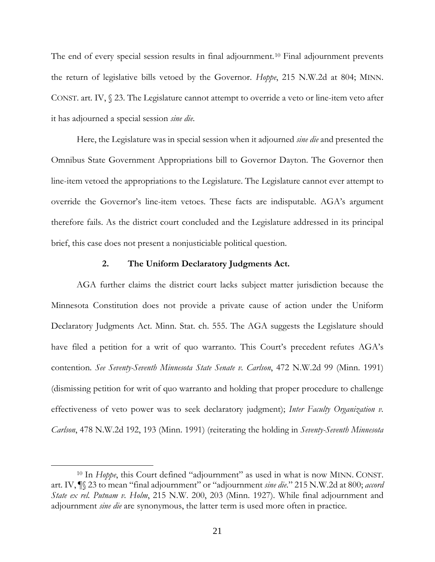The end of every special session results in final adjournment.<sup>[10](#page-21-0)</sup> Final adjournment prevents the return of legislative bills vetoed by the Governor. *Hoppe*, 215 N.W.2d at 804; MINN. CONST. art. IV, § 23. The Legislature cannot attempt to override a veto or line-item veto after it has adjourned a special session *sine die*.

Here, the Legislature was in special session when it adjourned *sine die* and presented the Omnibus State Government Appropriations bill to Governor Dayton. The Governor then line-item vetoed the appropriations to the Legislature. The Legislature cannot ever attempt to override the Governor's line-item vetoes. These facts are indisputable. AGA's argument therefore fails. As the district court concluded and the Legislature addressed in its principal brief, this case does not present a nonjusticiable political question.

### **2. The Uniform Declaratory Judgments Act.**

AGA further claims the district court lacks subject matter jurisdiction because the Minnesota Constitution does not provide a private cause of action under the Uniform Declaratory Judgments Act. Minn. Stat. ch. 555. The AGA suggests the Legislature should have filed a petition for a writ of quo warranto. This Court's precedent refutes AGA's contention. *See Seventy-Seventh Minnesota State Senate v. Carlson*, 472 N.W.2d 99 (Minn. 1991) (dismissing petition for writ of quo warranto and holding that proper procedure to challenge effectiveness of veto power was to seek declaratory judgment); *Inter Faculty Organization v. Carlson*, 478 N.W.2d 192, 193 (Minn. 1991) (reiterating the holding in *Seventy-Seventh Minnesota* 

<span id="page-21-0"></span><sup>10</sup> In *Hoppe*, this Court defined "adjournment" as used in what is now MINN. CONST. art. IV, ¶§ 23 to mean "final adjournment" or "adjournment *sine die*." 215 N.W.2d at 800; *accord State ex rel. Putnam v. Holm*, 215 N.W. 200, 203 (Minn. 1927). While final adjournment and adjournment *sine die* are synonymous, the latter term is used more often in practice.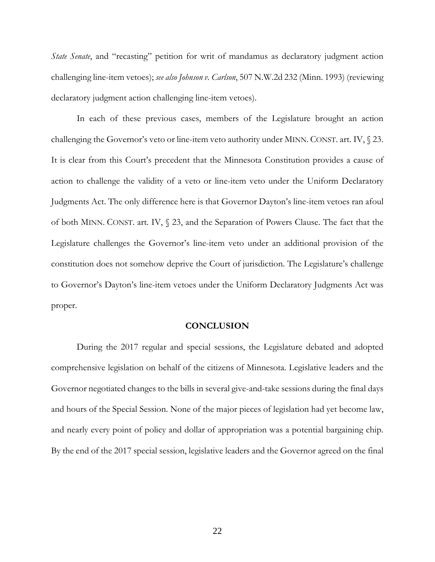*State Senate*, and "recasting" petition for writ of mandamus as declaratory judgment action challenging line-item vetoes); *see also Johnson v. Carlson*, 507 N.W.2d 232 (Minn. 1993) (reviewing declaratory judgment action challenging line-item vetoes).

In each of these previous cases, members of the Legislature brought an action challenging the Governor's veto or line-item veto authority under MINN. CONST. art. IV, § 23. It is clear from this Court's precedent that the Minnesota Constitution provides a cause of action to challenge the validity of a veto or line-item veto under the Uniform Declaratory Judgments Act. The only difference here is that Governor Dayton's line-item vetoes ran afoul of both MINN. CONST. art. IV, § 23, and the Separation of Powers Clause. The fact that the Legislature challenges the Governor's line-item veto under an additional provision of the constitution does not somehow deprive the Court of jurisdiction. The Legislature's challenge to Governor's Dayton's line-item vetoes under the Uniform Declaratory Judgments Act was proper.

#### **CONCLUSION**

During the 2017 regular and special sessions, the Legislature debated and adopted comprehensive legislation on behalf of the citizens of Minnesota. Legislative leaders and the Governor negotiated changes to the bills in several give-and-take sessions during the final days and hours of the Special Session. None of the major pieces of legislation had yet become law, and nearly every point of policy and dollar of appropriation was a potential bargaining chip. By the end of the 2017 special session, legislative leaders and the Governor agreed on the final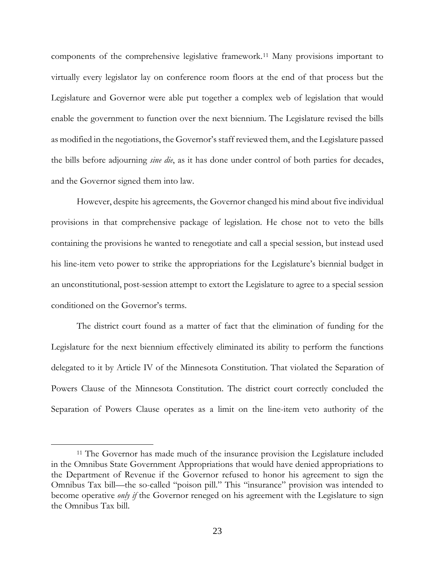components of the comprehensive legislative framework.[11](#page-23-0) Many provisions important to virtually every legislator lay on conference room floors at the end of that process but the Legislature and Governor were able put together a complex web of legislation that would enable the government to function over the next biennium. The Legislature revised the bills as modified in the negotiations, the Governor's staff reviewed them, and the Legislature passed the bills before adjourning *sine die*, as it has done under control of both parties for decades, and the Governor signed them into law.

However, despite his agreements, the Governor changed his mind about five individual provisions in that comprehensive package of legislation. He chose not to veto the bills containing the provisions he wanted to renegotiate and call a special session, but instead used his line-item veto power to strike the appropriations for the Legislature's biennial budget in an unconstitutional, post-session attempt to extort the Legislature to agree to a special session conditioned on the Governor's terms.

The district court found as a matter of fact that the elimination of funding for the Legislature for the next biennium effectively eliminated its ability to perform the functions delegated to it by Article IV of the Minnesota Constitution. That violated the Separation of Powers Clause of the Minnesota Constitution. The district court correctly concluded the Separation of Powers Clause operates as a limit on the line-item veto authority of the

<span id="page-23-0"></span><sup>&</sup>lt;sup>11</sup> The Governor has made much of the insurance provision the Legislature included in the Omnibus State Government Appropriations that would have denied appropriations to the Department of Revenue if the Governor refused to honor his agreement to sign the Omnibus Tax bill—the so-called "poison pill." This "insurance" provision was intended to become operative *only if* the Governor reneged on his agreement with the Legislature to sign the Omnibus Tax bill.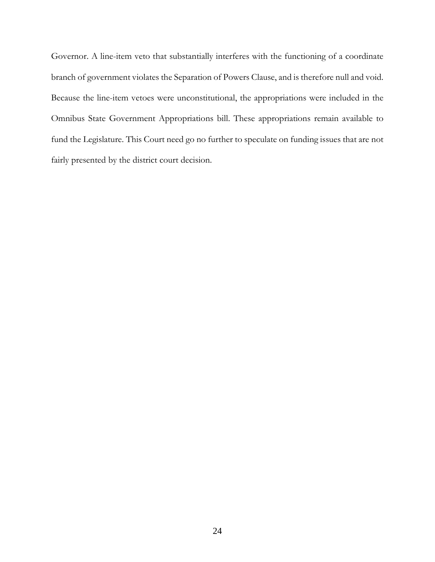Governor. A line-item veto that substantially interferes with the functioning of a coordinate branch of government violates the Separation of Powers Clause, and is therefore null and void. Because the line-item vetoes were unconstitutional, the appropriations were included in the Omnibus State Government Appropriations bill. These appropriations remain available to fund the Legislature. This Court need go no further to speculate on funding issues that are not fairly presented by the district court decision.